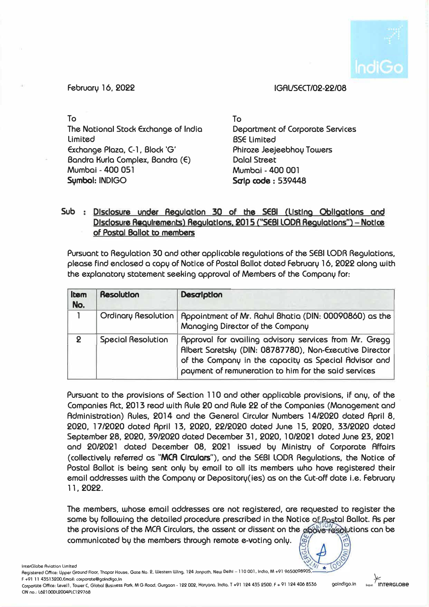

### **February 1 6. 2022 IGAUSECT /02-22/08**

**To To The National Stock Exchange of India limited Exchange Plaza, C-1. Block 'G' Bandra Kurla Complex, Bandra (E) Mumbai - 400 051**  Symbol: INDIGO **Symbol:** INDIGO

**Department of Corporate Services BSE limited Phiroze Jeejeebhoy Towers Dalal Street Mumbai - 400 001** 

# **Sub Dlsclosure under Aegulotlon 30 of the SEBI (Listing Obllgotlons and Disclosure Requirements) Regulotlons. 201 S ("SEBI LODA Regulotlons") - Notice of Postal Ballot to members**

**Pursuant to Regulation 30 and other applicable regulations of the SEBI LODR Regulations, please find enclosed a copy of Notice of Postal Ballot dated February 16, 2022 along with the explanatory statement seeking approval of Members of the Company for:** 

| Item<br>No.  | <b>Resolution</b>         | Desalption                                                                                                                                                                                                                         |  |
|--------------|---------------------------|------------------------------------------------------------------------------------------------------------------------------------------------------------------------------------------------------------------------------------|--|
| 1            |                           | Ordinary Resolution   Appointment of Mr. Rahul Bhatia (DIN: 00090860) as the<br>Managing Director of the Company                                                                                                                   |  |
| $\mathbf{Q}$ | <b>Special Resolution</b> | Approval for availing advisory services from Mr. Gregg<br>Albert Saretsky (DIN: 08787780), Non-Executive Director<br>of the Company in the capacity as Special Advisor and<br>payment of remuneration to him for the said services |  |

**Pursuant to the provisions of Section 110 and other applicable provisions, if any, of the Companies Act, 2013 read with Rule 20 and Rule 22 of the Companies (Management and Administration) Rules, 2014 and the General Circular Numbers 14/2020 dated April 8, 2020, 17/2020 dated April 13, 2020, 22/2020 dated June 15, 2020, 33/2020 dated September 28, 2020, 39/2020 dated December 31, 2020, 10/2021 dated June 23, 2021 and 20/2021 dated December 08, 2021 issued by Ministry of Corporate Affairs (collectively referred as "MCA Clrculors"), and the SEBI LODR Regulations, the Notice of Postal Ballot is being sent only by email to all its members who have registered their email addresses with the Company or Depository(ies) as on the Cut-off date i.e. February 11, 2022.** 

**The members. whose email addresses are not registered, are requested to register the**  same by following the detailed procedure prescribed in the Notice of Postal Ballot. As per the provisions of the MCA Circulars, the assent or dissent on the **above resolutions can be**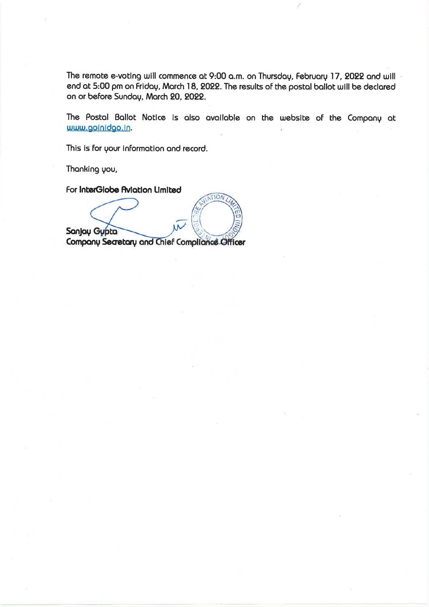The remote e-voting will commence at 9:00 a.m. on Thursday, February 17, 2022 and will end at 5:00 pm on Friday, March 18, 2022. The results of the postal ballot will be declared on or before Sunday, March 20, 2022.

The Postal Ballot Notice is also available on the website of the Company at www.goinidgo.in.

This is for your information and record.

Thanking you,

For InterGlobe Aviation Limited

TION Sanjay Gypta Company Secretary and Chief Compliance Officer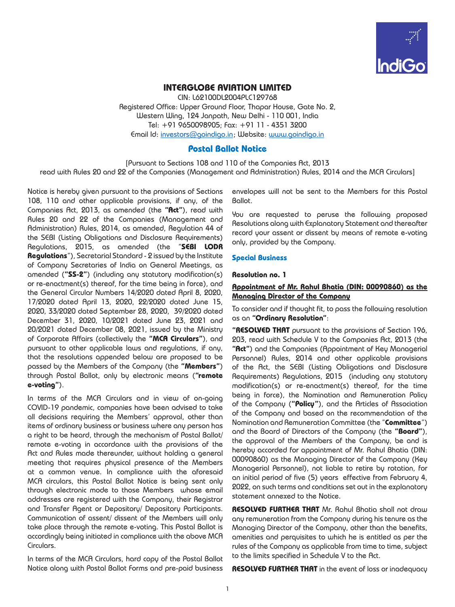

## **INTERGLOBE AVIATION LIMITED**

CIN: L62100DL2004PLC129768 Registered Office: Upper Ground Floor, Thapar House, Gate No. 2, Western Wing, 124 Janpath, New Delhi - 110 001, India Tel: +91 9650098905; Fax: +91 11 - 4351 3200 Email Id: [investors@goindigo.in](mailto:investors@goindigo.in) ; Website: [www.goindigo.in](http://www.goindigo.in)

### **Postal Ballot Notice**

[Pursuant to Sections 108 and 110 of the Companies Act, 2013 read with Rules 20 and 22 of the Companies (Management and Administration) Rules, 2014 and the MCA Circulars]

Notice is hereby given pursuant to the provisions of Sections 108, 110 and other applicable provisions, if any, of the Companies Act, 2013, as amended (the **"Act"**), read with Rules 20 and 22 of the Companies (Management and Administration) Rules, 2014, as amended, Regulation 44 of the SEBI (Listing Obligations and Disclosure Requirements) Regulations, 2015, as amended (the "**SEBI LODR Regulations**"), Secretarial Standard - 2 issued by the Institute of Company Secretaries of India on General Meetings, as amended (**"SS-2"**) (including any statutory modification(s) or re-enactment(s) thereof, for the time being in force), and the General Circular Numbers 14/2020 dated April 8, 2020, 17/2020 dated April 13, 2020, 22/2020 dated June 15, 2020, 33/2020 dated September 28, 2020, 39/2020 dated December 31, 2020, 10/2021 dated June 23, 2021 and 20/2021 dated December 08, 2021, issued by the Ministry of Corporate Affairs (collectively the **"MCA Circulars"**), and pursuant to other applicable laws and regulations, if any, that the resolutions appended below are proposed to be passed by the Members of the Company (the **"Members"**) through Postal Ballot, only by electronic means (**"remote e-voting"**).

In terms of the MCA Circulars and in view of on-going COVID-19 pandemic, companies have been advised to take all decisions requiring the Members' approval, other than items of ordinary business or business where any person has a right to be heard, through the mechanism of Postal Ballot/ remote e-voting in accordance with the provisions of the Act and Rules made thereunder, without holding a general meeting that requires physical presence of the Members at a common venue. In compliance with the aforesaid MCA circulars, this Postal Ballot Notice is being sent only through electronic mode to those Members whose email addresses are registered with the Company, their Registrar and Transfer Agent or Depository/ Depository Participants. Communication of assent/ dissent of the Members will only take place through the remote e-voting. This Postal Ballot is accordingly being initiated in compliance with the above MCA Circulars.

In terms of the MCA Circulars, hard copy of the Postal Ballot Notice along with Postal Ballot Forms and pre-paid business envelopes will not be sent to the Members for this Postal Ballot.

You are requested to peruse the following proposed Resolutions along with Explanatory Statement and thereafter record your assent or dissent by means of remote e-voting only, provided by the Company.

### **Special Business**

#### **Resolution no. 1**

### **Appointment of Mr. Rahul Bhatia (DIN: 00090860) as the Managing Director of the Company**

To consider and if thought fit, to pass the following resolution as an **"Ordinary Resolution"**:

**"RESOLVED THAT** pursuant to the provisions of Section 196, 203, read with Schedule V to the Companies Act, 2013 (the **"Act"**) and the Companies (Appointment of Key Managerial Personnel) Rules, 2014 and other applicable provisions of the Act, the SEBI (Listing Obligations and Disclosure Requirements) Regulations, 2015 (including any statutory modification(s) or re-enactment(s) thereof, for the time being in force), the Nomination and Remuneration Policy of the Company (**"Policy"**), and the Articles of Association of the Company and based on the recommendation of the Nomination and Remuneration Committee (the "**Committee**") and the Board of Directors of the Company (the **"Board"**), the approval of the Members of the Company, be and is hereby accorded for appointment of Mr. Rahul Bhatia (DIN: 00090860) as the Managing Director of the Company (Key Managerial Personnel), not liable to retire by rotation, for an initial period of five (5) years effective from February 4, 2022, on such terms and conditions set out in the explanatory statement annexed to the Notice.

**RESOLVED FURTHER THAT** Mr. Rahul Bhatia shall not draw any remuneration from the Company during his tenure as the Managing Director of the Company, other than the benefits, amenities and perquisites to which he is entitled as per the rules of the Company as applicable from time to time, subject to the limits specified in Schedule V to the Act.

**RESOLVED FURTHER THAT** in the event of loss or inadequacy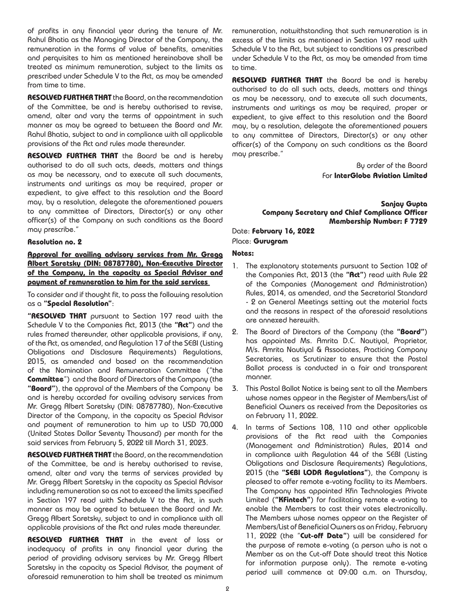of profits in any financial year during the tenure of Mr. Rahul Bhatia as the Managing Director of the Company, the remuneration in the forms of value of benefits, amenities and perquisites to him as mentioned hereinabove shall be treated as minimum remuneration, subject to the limits as prescribed under Schedule V to the Act, as may be amended from time to time.

**RESOLVED FURTHER THAT** the Board, on the recommendation of the Committee, be and is hereby authorised to revise, amend, alter and vary the terms of appointment in such manner as may be agreed to between the Board and Mr. Rahul Bhatia, subject to and in compliance with all applicable provisions of the Act and rules made thereunder.

**RESOLVED FURTHER THAT** the Board be and is hereby authorised to do all such acts, deeds, matters and things as may be necessary, and to execute all such documents, instruments and writings as may be required, proper or expedient, to give effect to this resolution and the Board may, by a resolution, delegate the aforementioned powers to any committee of Directors, Director(s) or any other officer(s) of the Company on such conditions as the Board may prescribe."

#### **Resolution no. 2**

**Approval for availing advisory services from Mr. Gregg Albert Saretsky (DIN: 08787780), Non-Executive Director of the Company, in the capacity as Special Advisor and payment of remuneration to him for the said services** 

To consider and if thought fit, to pass the following resolution as a **"Special Resolution"**:

**"RESOLVED THAT** pursuant to Section 197 read with the Schedule V to the Companies Act, 2013 (the **"Act"**) and the rules framed thereunder, other applicable provisions, if any, of the Act, as amended, and Regulation 17 of the SEBI (Listing Obligations and Disclosure Requirements) Regulations, 2015, as amended and based on the recommendation of the Nomination and Remuneration Committee ("the **Committee**") and the Board of Directors of the Company (the **"Board"**), the approval of the Members of the Company be and is hereby accorded for availing advisory services from Mr. Gregg Albert Saretsky (DIN: 08787780), Non-Executive Director of the Company, in the capacity as Special Advisor and payment of remuneration to him up to USD 70,000 (United States Dollar Seventy Thousand) per month for the said services from February 5, 2022 till March 31, 2023.

**RESOLVED FURTHER THAT** the Board, on the recommendation of the Committee, be and is hereby authorised to revise, amend, alter and vary the terms of services provided by Mr. Gregg Albert Saretsky in the capacity as Special Advisor including remuneration so as not to exceed the limits specified in Section 197 read with Schedule V to the Act, in such manner as may be agreed to between the Board and Mr. Gregg Albert Saretsky, subject to and in compliance with all applicable provisions of the Act and rules made thereunder.

**RESOLVED FURTHER THAT** in the event of loss or inadequacy of profits in any financial year during the period of providing advisory services by Mr. Gregg Albert Saretsky in the capacity as Special Advisor, the payment of aforesaid remuneration to him shall be treated as minimum

remuneration, notwithstanding that such remuneration is in excess of the limits as mentioned in Section 197 read with Schedule V to the Act, but subject to conditions as prescribed under Schedule V to the Act, as may be amended from time to time.

**RESOLVED FURTHER THAT** the Board be and is hereby authorised to do all such acts, deeds, matters and things as may be necessary, and to execute all such documents, instruments and writings as may be required, proper or expedient, to give effect to this resolution and the Board may, by a resolution, delegate the aforementioned powers to any committee of Directors, Director(s) or any other officer(s) of the Company on such conditions as the Board may prescribe."

> By order of the Board For **InterGlobe Aviation Limited**

**Sanjay Gupta Company Secretary and Chief Compliance Officer Membership Number: F 7729**

Date: **February 16, 2022** Place: **Gurugram**

#### **Notes:**

- 1. The explanatory statements pursuant to Section 102 of the Companies Act, 2013 (the **"Act"**) read with Rule 22 of the Companies (Management and Administration) Rules, 2014, as amended, and the Secretarial Standard - 2 on General Meetings setting out the material facts and the reasons in respect of the aforesaid resolutions are annexed herewith.
- 2. The Board of Directors of the Company (the **"Board"**) has appointed Ms. Amrita D.C. Nautiyal, Proprietor, M/s. Amrita Nautiyal & Associates, Practicing Company Secretaries, as Scrutinizer to ensure that the Postal Ballot process is conducted in a fair and transparent manner.
- 3. This Postal Ballot Notice is being sent to all the Members whose names appear in the Register of Members/List of Beneficial Owners as received from the Depositories as on February 11, 2022.
- 4. In terms of Sections 108, 110 and other applicable provisions of the Act read with the Companies (Management and Administration) Rules, 2014 and in compliance with Regulation 44 of the SEBI (Listing Obligations and Disclosure Requirements) Regulations, 2015 (the **"SEBI LODR Regulations"**), the Company is pleased to offer remote e-voting facility to its Members. The Company has appointed Kfin Technologies Private Limited (**"KFintech"**) for facilitating remote e-voting to enable the Members to cast their votes electronically. The Members whose names appear on the Register of Members/List of Beneficial Owners as on Friday, February 11, 2022 (the "**Cut-off Date"**) will be considered for the purpose of remote e-voting (a person who is not a Member as on the Cut-off Date should treat this Notice for information purpose only). The remote e-voting period will commence at 09:00 a.m. on Thursday,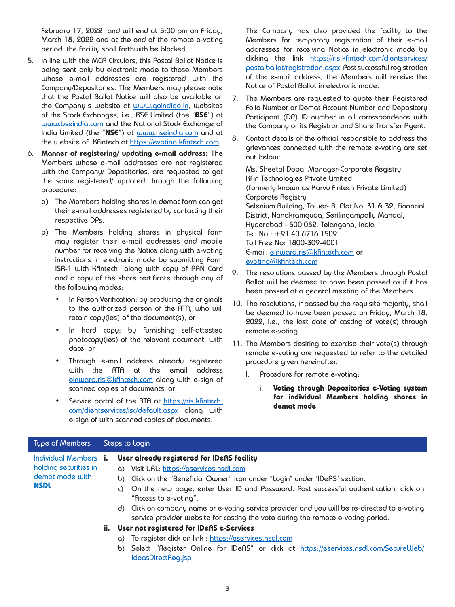February 17, 2022 and will end at 5:00 pm on Friday, March 18, 2022 and at the end of the remote e-voting period, the facility shall forthwith be blocked.

- 5. In line with the MCA Circulars, this Postal Ballot Notice is being sent only by electronic mode to those Members whose e-mail addresses are registered with the Company/Depositories. The Members may please note that the Postal Ballot Notice will also be available on the Company's website at [www.goindigo.in](http://www.goindigo.in), websites of the Stock Exchanges, i.e., BSE Limited (the "**BSE**") at [www.bseindia.com](http://www.bseindia.com) and the National Stock Exchange of India Limited (the "**NSE**") at [www.nseindia.com](http://www.nseindia.com) and at the website of Kfintech at [https://evoting.kfintech.com.](https://evoting.kfintech.com)
- 6. **Manner of registering/ updating e-mail address:** The Members whose e-mail addresses are not registered with the Company/ Depositories, are requested to get the same registered/ updated through the following procedure:
	- a) The Members holding shares in demat form can get their e-mail addresses registered by contacting their respective DPs.
	- b) The Members holding shares in physical form may register their e-mail addresses and mobile number for receiving the Notice along with e-voting instructions in electronic mode by submitting Form ISR-1 with Kfintech along with copy of PAN Card and a copy of the share certificate through any of the following modes:
		- In Person Verification: by producing the originals to the authorized person of the RTA, who will retain copy(ies) of the document(s), or
		- In hard copy: by furnishing self-attested photocopy(ies) of the relevant document, with date, or
		- Through e-mail address already registered with the RTA at the email address einward.ris@kfintech.com along with e-sign of scanned copies of documents, or
		- Service portal of the RTA at [https://ris.kfintech.](https://ris.kfintech.com/clientservices/isc/default.aspx) [com/clientservices/isc/default.aspx](https://ris.kfintech.com/clientservices/isc/default.aspx) along with e-sign of with scanned copies of documents.

The Company has also provided the facility to the Members for temporary registration of their e-mail addresses for receiving Notice in electronic mode by clicking the link [https://ris.kfintech.com/clientservices/](https://ris.kfintech.com/clientservices/postalballot/registration.aspx) [postalballot/registration.aspx.](https://ris.kfintech.com/clientservices/postalballot/registration.aspx) Post successful registration of the e-mail address, the Members will receive the Notice of Postal Ballot in electronic mode.

- 7. The Members are requested to quote their Registered Folio Number or Demat Account Number and Depository Participant (DP) ID number in all correspondence with the Company or its Registrar and Share Transfer Agent.
- 8. Contact details of the official responsible to address the grievances connected with the remote e-voting are set out below:

Ms. Sheetal Doba, Manager-Corporate Registry KFin Technologies Private Limited (formerly known as Karvy Fintech Private Limited) Corporate Registry Selenium Building, Tower- B, Plot No. 31 & 32, Financial District, Nanakramguda, Serilingampally Mandal, Hyderabad - 500 032, Telangana, India Tel. No.: +91 40 6716 1509 Toll Free No: 1800-309-4001 E-mail: [einward.ris@kfintech.com](mailto:einward.ris%40kfintech.com?subject=) or [evoting@kfintech.com](mailto:evoting%40kfintech.com?subject=)

- 9. The resolutions passed by the Members through Postal Ballot will be deemed to have been passed as if it has been passed at a general meeting of the Members.
- 10. The resolutions, if passed by the requisite majority, shall be deemed to have been passed on Friday, March 18, 2022, i.e., the last date of casting of vote(s) through remote e-voting.
- 11. The Members desiring to exercise their vote(s) through remote e-voting are requested to refer to the detailed procedure given hereinafter.
	- I. Procedure for remote e-voting:
		- i. **Voting through Depositories e-Voting system for individual Members holding shares in demat mode**

| Type of Members                                                                        | Steps to Login                                                                                                                                                                                                                                                                                                                                                                                                                                                                                                                                                                                                                                                                                                 |
|----------------------------------------------------------------------------------------|----------------------------------------------------------------------------------------------------------------------------------------------------------------------------------------------------------------------------------------------------------------------------------------------------------------------------------------------------------------------------------------------------------------------------------------------------------------------------------------------------------------------------------------------------------------------------------------------------------------------------------------------------------------------------------------------------------------|
| <b>Individual Members I</b><br>holding securities in<br>demot mode with<br><b>NSDL</b> | User already registered for IDeAS facility<br>a) Visit URL: https://eservices.nsdl.com<br>b) Click on the "Beneficial Owner" icon under "Login" under 'IDeAS' section.<br>On the new page, enter User ID and Password. Post successful authentication, click on<br>"Access to e-voting".<br>d) Click on company name or e-voting service provider and you will be re-directed to e-voting<br>service provider website for casting the vote during the remote e-voting period.<br>ii.<br>User not registered for IDeAS e-Services<br>a) To register click on link : https://eservices.nsdl.com<br>b) Select "Register Online for IDeAS" or click at https://eservices.nsdl.com/SecureWeb/<br>IdeasDirectReq.jsp |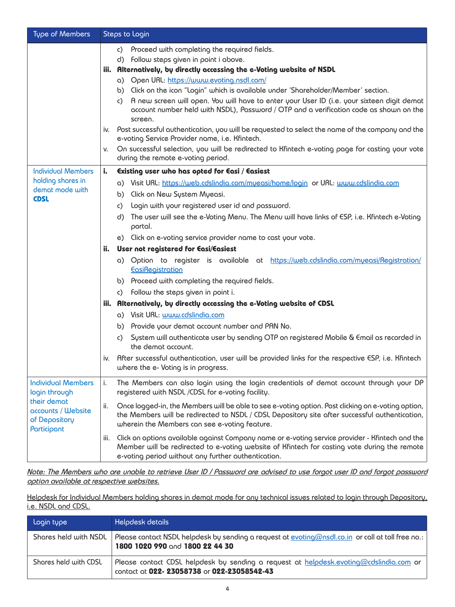| Type of Members                                                   | Steps to Login |                                                                                                                                                                                                                                                        |  |
|-------------------------------------------------------------------|----------------|--------------------------------------------------------------------------------------------------------------------------------------------------------------------------------------------------------------------------------------------------------|--|
|                                                                   |                | c) Proceed with completing the required fields.                                                                                                                                                                                                        |  |
|                                                                   |                | d) Follow steps given in point i above.                                                                                                                                                                                                                |  |
|                                                                   |                | iii. Alternatively, by directly accessing the e-Voting website of NSDL                                                                                                                                                                                 |  |
|                                                                   |                | a) Open URL: https://www.evoting.nsdl.com/                                                                                                                                                                                                             |  |
|                                                                   |                | b) Click on the icon "Login" which is available under 'Shareholder/Member' section.                                                                                                                                                                    |  |
|                                                                   |                | A new screen will open. You will have to enter your User ID (i.e. your sixteen digit demat<br>C)<br>account number held with NSDL), Password / OTP and a verification code as shown on the<br>screen.                                                  |  |
|                                                                   | İV.            | Post successful authentication, you will be requested to select the name of the company and the<br>e-voting Service Provider name, i.e. Kfintech.                                                                                                      |  |
|                                                                   | V.             | On successful selection, you will be redirected to Kfintech e-voting page for casting your vote<br>during the remote e-voting period.                                                                                                                  |  |
| <b>Individual Members</b>                                         | i.             | Existing user who has opted for Easi / Easiest                                                                                                                                                                                                         |  |
| holding shares in                                                 |                | a) Visit URL: https://web.cdslindia.com/myeasi/home/login or URL: www.cdslindia.com                                                                                                                                                                    |  |
| demat mode with<br><b>CDSL</b>                                    |                | b) Click on New System Myeasi.                                                                                                                                                                                                                         |  |
|                                                                   |                | Login with your registered user id and password.<br>C)                                                                                                                                                                                                 |  |
|                                                                   |                | The user will see the e-Voting Menu. The Menu will have links of ESP, i.e. Kfintech e-Voting<br>d)<br>portal.                                                                                                                                          |  |
|                                                                   |                | e) Click on e-voting service provider name to cast your vote.                                                                                                                                                                                          |  |
|                                                                   | ii.            | User not registered for Easi/Easiest                                                                                                                                                                                                                   |  |
|                                                                   |                | a) Option to register is available at https://web.cdslindia.com/myeasi/Registration/<br><b>EasiRegistration</b>                                                                                                                                        |  |
|                                                                   |                | b) Proceed with completing the required fields.                                                                                                                                                                                                        |  |
|                                                                   |                | follow the steps given in point i.<br>C)                                                                                                                                                                                                               |  |
|                                                                   | iii.           | Alternatively, by directly accessing the e-Voting website of CDSL                                                                                                                                                                                      |  |
|                                                                   |                | a) Visit URL: www.cdslindia.com                                                                                                                                                                                                                        |  |
|                                                                   |                | b) Provide your demat account number and PAN No.                                                                                                                                                                                                       |  |
|                                                                   |                | System will authenticate user by sending OTP on registered Mobile & Email as recorded in<br>$\mathsf{C}$<br>the demat account.                                                                                                                         |  |
|                                                                   | İV.            | After successful authentication, user will be provided links for the respective ESP, i.e. Kfintech<br>where the e- Voting is in progress.                                                                                                              |  |
| <b>Individual Members</b><br>login through                        | i.             | The Members can also login using the login credentials of demat account through your DP<br>registered with NSDL /CDSL for e-voting facility.                                                                                                           |  |
| their demat<br>accounts / Website<br>of Depository<br>Participant | ii.            | Once logged-in, the Members will be able to see e-voting option. Post clicking on e-voting option,<br>the Members will be redirected to NSDL / CDSL Depository site after successful authentication,<br>wherein the Members can see e-voting feature.  |  |
|                                                                   | iii.           | Click on options available against Company name or e-voting service provider - Kfintech and the<br>Member will be redirected to e-voting website of Kfintech for casting vote during the remote<br>e-voting period without any further authentication. |  |

*Note: The Members who are unable to retrieve User ID / Password are advised to use forgot user ID and forgot password option available at respective websites.*

Helpdesk for Individual Members holding shares in demat mode for any technical issues related to login through Depository, i.e. NSDL and CDSL.

| Login type            | Helpdesk details                                                                                                                            |
|-----------------------|---------------------------------------------------------------------------------------------------------------------------------------------|
| Shares held with NSDL | Please contact NSDL helpdesk by sending a request at <u>evoting@nsdl.co.in</u> or call at toll free no.:<br>1800 1020 990 and 1800 22 44 30 |
| Shares held with CDSL | Please contact CDSL helpdesk by sending a request at helpdesk.evoting@cdslindia.com or<br>contact at 022- 23058738 or 022-23058542-43       |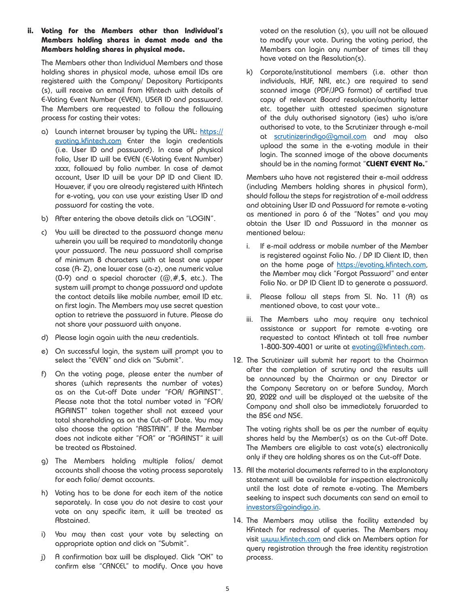#### **ii. Voting for the Members other than Individual's Members holding shares in demat mode and the Members holding shares in physical mode.**

The Members other than Individual Members and those holding shares in physical mode, whose email IDs are registered with the Company/ Depository Participants (s), will receive an email from Kfintech with details of E-Voting Event Number (EVEN), USER ID and password. The Members are requested to follow the following process for casting their votes:

- a) Launch internet browser by typing the URL: [https://](https://evoting.kfintech.com) [evoting.kfintech.com](https://evoting.kfintech.com) Enter the login credentials (i.e. User ID and password). In case of physical folio, User ID will be EVEN (E-Voting Event Number) xxxx, followed by folio number. In case of demat account, User ID will be your DP ID and Client ID. However, if you are already registered with Kfintech for e-voting, you can use your existing User ID and password for casting the vote.
- b) After entering the above details click on "LOGIN".
- c) You will be directed to the password change menu wherein you will be required to mandatorily change your password. The new password shall comprise of minimum 8 characters with at least one upper case (A- Z), one lower case (a-z), one numeric value (0-9) and a special character  $(@, #, \$, etc.).$  The system will prompt to change password and update the contact details like mobile number, email ID etc. on first login. The Members may use secret question option to retrieve the password in future. Please do not share your password with anyone.
- d) Please login again with the new credentials.
- e) On successful login, the system will prompt you to select the "EVEN" and click on "Submit".
- f) On the voting page, please enter the number of shares (which represents the number of votes) as on the Cut-off Date under "FOR/ AGAINST". Please note that the total number voted in "FOR/ AGAINST" taken together shall not exceed your total shareholding as on the Cut-off Date. You may also choose the option "ABSTAIN". If the Member does not indicate either "FOR" or "AGAINST" it will be treated as Abstained.
- g) The Members holding multiple folios/ demat accounts shall choose the voting process separately for each folio/ demat accounts.
- h) Voting has to be done for each item of the notice separately. In case you do not desire to cast your vote on any specific item, it will be treated as Abstained.
- i) You may then cast your vote by selecting an appropriate option and click on "Submit".
- j) A confirmation box will be displayed. Click "OK" to confirm else "CANCEL" to modify. Once you have

voted on the resolution (s), you will not be allowed to modify your vote. During the voting period, the Members can login any number of times till they have voted on the Resolution(s).

k) Corporate/institutional members (i.e. other than individuals, HUF, NRI, etc.) are required to send scanned image (PDF/JPG format) of certified true copy of relevant Board resolution/authority letter etc. together with attested specimen signature of the duly authorised signatory (ies) who is/are authorised to vote, to the Scrutinizer through e-mail at [scrutinizerindigo@gmail.com](mailto:scrutinizerindigo@gmail.com) and may also upload the same in the e-voting module in their login. The scanned image of the above documents should be in the naming format "**CLIENT EVENT No.**"

Members who have not registered their e-mail address (including Members holding shares in physical form), should follow the steps for registration of e-mail address and obtaining User ID and Password for remote e-voting as mentioned in para 6 of the "Notes" and you may obtain the User ID and Password in the manner as mentioned below:

- i. If e-mail address or mobile number of the Member is registered against Folio No. / DP ID Client ID, then on the home page of [https://evoting.kfintech.com,](https://evoting.kfintech.com) the Member may click "Forgot Password" and enter Folio No. or DP ID Client ID to generate a password.
- ii. Please follow all steps from Sl. No. 11 (A) as mentioned above, to cast your vote..
- iii. The Members who may require any technical assistance or support for remote e-voting are requested to contact Kfintech at toll free number 1-800-309-4001 or write at [evoting@kfintech.com](mailto:evoting@kfintech.com).
- 12. The Scrutinizer will submit her report to the Chairman after the completion of scrutiny and the results will be announced by the Chairman or any Director or the Company Secretary on or before Sunday, March 20, 2022 and will be displayed at the website of the Company and shall also be immediately forwarded to the BSE and NSE.

The voting rights shall be as per the number of equity shares held by the Member(s) as on the Cut-off Date. The Members are eligible to cast vote(s) electronically only if they are holding shares as on the Cut-off Date.

- 13. All the material documents referred to in the explanatory statement will be available for inspection electronically until the last date of remote e-voting. The Members seeking to inspect such documents can send an email to [investors@goindigo.in](mailto:investors@goindigo.in).
- 14. The Members may utilise the facility extended by KFintech for redressal of queries. The Members may visit [www.kfintech.com](http://www.kfintech.com) and click on Members option for query registration through the free identity registration process.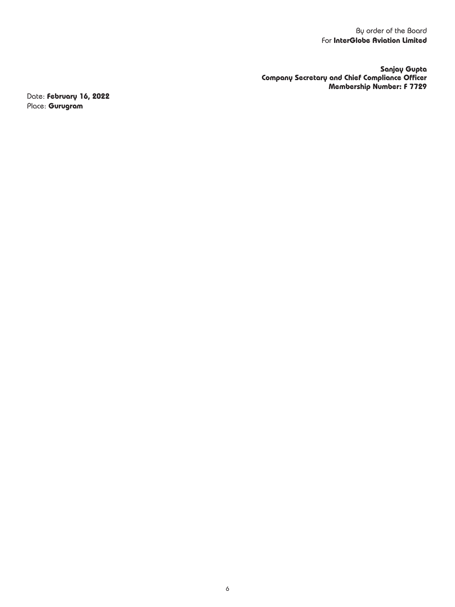**Sanjay Gupta Company Secretary and Chief Compliance Officer Membership Number: F 7729**

Date: **February 16, 2022** Place: **Gurugram**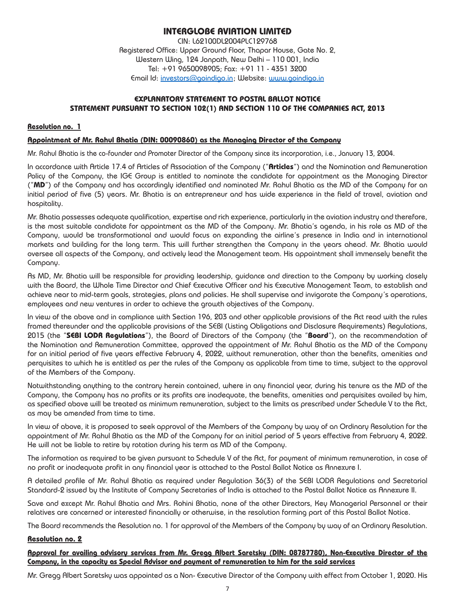# **INTERGLOBE AVIATION LIMITED**

CIN: L62100DL2004PLC129768 Registered Office: Upper Ground Floor, Thapar House, Gate No. 2, Western Wing, 124 Janpath, New Delhi – 110 001, India Tel: +91 9650098905; Fax: +91 11 - 4351 3200 Email Id: investors@goindigo.in ; Website: www.goindigo.in

### **EXPLANATORY STATEMENT TO POSTAL BALLOT NOTICE STATEMENT PURSUANT TO SECTION 102(1) AND SECTION 110 OF THE COMPANIES ACT, 2013**

### **Resolution no. 1**

#### **Appointment of Mr. Rahul Bhatia (DIN: 00090860) as the Managing Director of the Company**

Mr. Rahul Bhatia is the co-founder and Promoter Director of the Company since its incorporation, i.e., January 13, 2004.

In accordance with Article 17.4 of Articles of Association of the Company ("**Articles**") and the Nomination and Remuneration Policy of the Company, the IGE Group is entitled to nominate the candidate for appointment as the Managing Director ("**MD**") of the Company and has accordingly identified and nominated Mr. Rahul Bhatia as the MD of the Company for an initial period of five (5) years. Mr. Bhatia is an entrepreneur and has wide experience in the field of travel, aviation and hospitality.

Mr. Bhatia possesses adequate qualification, expertise and rich experience, particularly in the aviation industry and therefore, is the most suitable candidate for appointment as the MD of the Company. Mr. Bhatia's agenda, in his role as MD of the Company, would be transformational and would focus on expanding the airline's presence in India and in international markets and building for the long term. This will further strengthen the Company in the years ahead. Mr. Bhatia would oversee all aspects of the Company, and actively lead the Management team. His appointment shall immensely benefit the Company.

As MD, Mr. Bhatia will be responsible for providing leadership, guidance and direction to the Company by working closely with the Board, the Whole Time Director and Chief Executive Officer and his Executive Management Team, to establish and achieve near to mid-term goals, strategies, plans and policies. He shall supervise and invigorate the Company's operations, employees and new ventures in order to achieve the growth objectives of the Company.

In view of the above and in compliance with Section 196, 203 and other applicable provisions of the Act read with the rules framed thereunder and the applicable provisions of the SEBI (Listing Obligations and Disclosure Requirements) Regulations, 2015 (the "**SEBI LODR Regulations**"), the Board of Directors of the Company (the "**Board**"), on the recommendation of the Nomination and Remuneration Committee, approved the appointment of Mr. Rahul Bhatia as the MD of the Company for an initial period of five years effective February 4, 2022, without remuneration, other than the benefits, amenities and perquisites to which he is entitled as per the rules of the Company as applicable from time to time, subject to the approval of the Members of the Company.

Notwithstanding anything to the contrary herein contained, where in any financial year, during his tenure as the MD of the Company, the Company has no profits or its profits are inadequate, the benefits, amenities and perquisites availed by him, as specified above will be treated as minimum remuneration, subject to the limits as prescribed under Schedule V to the Act, as may be amended from time to time.

In view of above, it is proposed to seek approval of the Members of the Company by way of an Ordinary Resolution for the appointment of Mr. Rahul Bhatia as the MD of the Company for an initial period of 5 years effective from February 4, 2022. He will not be liable to retire by rotation during his term as MD of the Company.

The information as required to be given pursuant to Schedule V of the Act, for payment of minimum remuneration, in case of no profit or inadequate profit in any financial year is attached to the Postal Ballot Notice as Annexure I.

A detailed profile of Mr. Rahul Bhatia as required under Regulation 36(3) of the SEBI LODR Regulations and Secretarial Standard-2 issued by the Institute of Company Secretaries of India is attached to the Postal Ballot Notice as Annexure II.

Save and except Mr. Rahul Bhatia and Mrs. Rohini Bhatia, none of the other Directors, Key Managerial Personnel or their relatives are concerned or interested financially or otherwise, in the resolution forming part of this Postal Ballot Notice.

The Board recommends the Resolution no. 1 for approval of the Members of the Company by way of an Ordinary Resolution.

### **Resolution no. 2**

### **Approval for availing advisory services from Mr. Gregg Albert Saretsky (DIN: 08787780), Non-Executive Director of the Company, in the capacity as Special Advisor and payment of remuneration to him for the said services**

Mr. Gregg Albert Saretsky was appointed as a Non- Executive Director of the Company with effect from October 1, 2020. His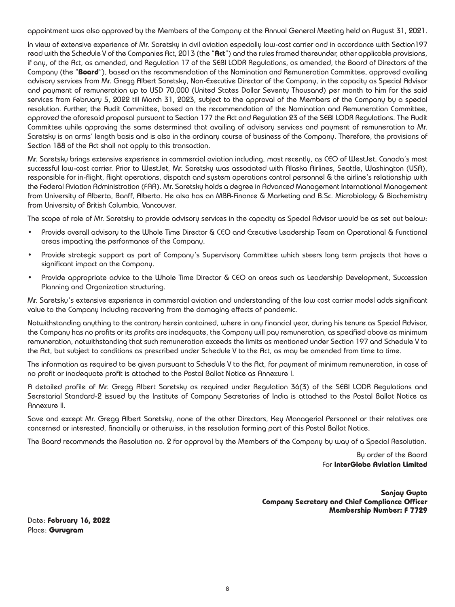appointment was also approved by the Members of the Company at the Annual General Meeting held on August 31, 2021.

In view of extensive experience of Mr. Saretsky in civil aviation especially low-cost carrier and in accordance with Section197 read with the Schedule V of the Companies Act, 2013 (the "**Act**") and the rules framed thereunder, other applicable provisions, if any, of the Act, as amended, and Regulation 17 of the SEBI LODR Regulations, as amended, the Board of Directors of the Company (the "**Board**"), based on the recommendation of the Nomination and Remuneration Committee, approved availing advisory services from Mr. Gregg Albert Saretsky, Non-Executive Director of the Company, in the capacity as Special Advisor and payment of remuneration up to USD 70,000 (United States Dollar Seventy Thousand) per month to him for the said services from February 5, 2022 till March 31, 2023, subject to the approval of the Members of the Company by a special resolution. Further, the Audit Committee, based on the recommendation of the Nomination and Remuneration Committee, approved the aforesaid proposal pursuant to Section 177 the Act and Regulation 23 of the SEBI LODR Regulations. The Audit Committee while approving the same determined that availing of advisory services and payment of remuneration to Mr. Saretsky is on arms' length basis and is also in the ordinary course of business of the Company. Therefore, the provisions of Section 188 of the Act shall not apply to this transaction.

Mr. Saretsky brings extensive experience in commercial aviation including, most recently, as CEO of WestJet, Canada's most successful low-cost carrier. Prior to WestJet, Mr. Saretsky was associated with Alaska Airlines, Seattle, Washington (USA), responsible for in-flight, flight operations, dispatch and system operations control personnel & the airline's relationship with the Federal Aviation Administration (FAA). Mr. Saretsky holds a degree in Advanced Management International Management from University of Alberta, Banff, Alberta. He also has an MBA-Finance & Marketing and B.Sc. Microbiology & Biochemistry from University of British Columbia, Vancouver.

The scope of role of Mr. Saretsky to provide advisory services in the capacity as Special Advisor would be as set out below:

- Provide overall advisory to the Whole Time Director & CEO and Executive Leadership Team on Operational & Functional areas impacting the performance of the Company.
- Provide strategic support as part of Company's Supervisory Committee which steers long term projects that have a significant impact on the Company.
- Provide appropriate advice to the Whole Time Director & CEO on areas such as Leadership Development, Succession Planning and Organization structuring.

Mr. Saretsky's extensive experience in commercial aviation and understanding of the low cost carrier model adds significant value to the Company including recovering from the damaging effects of pandemic.

Notwithstanding anything to the contrary herein contained, where in any financial year, during his tenure as Special Advisor, the Company has no profits or its profits are inadequate, the Company will pay remuneration, as specified above as minimum remuneration, notwithstanding that such remuneration exceeds the limits as mentioned under Section 197 and Schedule V to the Act, but subject to conditions as prescribed under Schedule V to the Act, as may be amended from time to time.

The information as required to be given pursuant to Schedule V to the Act, for payment of minimum remuneration, in case of no profit or inadequate profit is attached to the Postal Ballot Notice as Annexure I.

A detailed profile of Mr. Gregg Albert Saretsky as required under Regulation 36(3) of the SEBI LODR Regulations and Secretarial Standard-2 issued by the Institute of Company Secretaries of India is attached to the Postal Ballot Notice as Annexure II.

Save and except Mr. Gregg Albert Saretsky, none of the other Directors, Key Managerial Personnel or their relatives are concerned or interested, financially or otherwise, in the resolution forming part of this Postal Ballot Notice.

The Board recommends the Resolution no. 2 for approval by the Members of the Company by way of a Special Resolution.

By order of the Board For **InterGlobe Aviation Limited**

**Sanjay Gupta Company Secretary and Chief Compliance Officer Membership Number: F 7729**

Date: **February 16, 2022** Place: **Gurugram**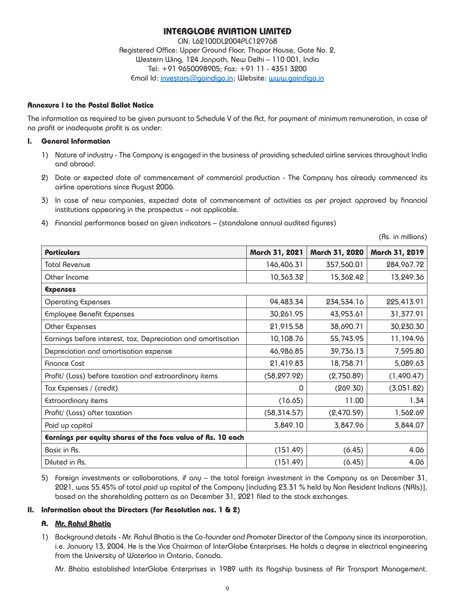# **INTERGLOBE AVIATION LIMITED**

CIN: L62100DL2004PLC129768 Registered Office: Upper Ground Floor, Thapar House, Gate No. 2, Western Wing, 124 Janpath, New Delhi – 110 001, India Tel: +91 9650098905; Fax: +91 11 - 4351 3200 Email Id: investors@goindigo.in ; Website: www.goindigo.in

### **Annexure I to the Postal Ballot Notice**

The information as required to be given pursuant to Schedule V of the Act, for payment of minimum remuneration, in case of no profit or inadequate profit is as under:

### **I. General Information**

- 1) Nature of industry The Company is engaged in the business of providing scheduled airline services throughout India and abroad.
- 2) Date or expected date of commencement of commercial production The Company has already commenced its airline operations since August 2006.
- 3) In case of new companies, expected date of commencement of activities as per project approved by financial institutions appearing in the prospectus – not applicable.
- 4) Financial performance based on given indicators (standalone annual audited figures)

(Rs. in millions)

| Particulars                                                  | March 31, 2021 | March 31, 2020 | March 31, 2019 |  |  |
|--------------------------------------------------------------|----------------|----------------|----------------|--|--|
| Total Revenue                                                | 146,406.31     | 357,560.01     | 284,967.72     |  |  |
| Other Income                                                 | 10,363.32      | 15,362.42      | 13,249.36      |  |  |
| Expenses                                                     |                |                |                |  |  |
| Operating Expenses                                           | 94,483.34      | 234,534.16     | 225,413.91     |  |  |
| Employee Benefit Expenses                                    | 30,261.95      | 43,953.61      | 31,377.91      |  |  |
| Other Expenses                                               | 21,915.58      | 38,690.71      | 30,230.30      |  |  |
| Earnings before interest, tax, Depreciation and amortisation | 10,108.76      | 55,743.95      | 11,194.96      |  |  |
| Depreciation and amortisation expense                        | 46,986.85      | 39,736.13      | 7,595.80       |  |  |
| <b>Finance Cost</b>                                          | 21,419.83      | 18,758.71      | 5,089.63       |  |  |
| Profit/ (Loss) before taxation and extraordinary items       | (58, 297.92)   | (2,750.89)     | (1,490.47)     |  |  |
| Tax Expenses / (credit)                                      | 0              | (269.30)       | (3,051.82)     |  |  |
| Extraordinary items                                          | (16.65)        | 11.00          | 1.34           |  |  |
| Profit/ (Loss) after taxation                                | (58, 314.57)   | (2,470.59)     | 1,562.69       |  |  |
| Paid up capital                                              | 3,849.10       | 3,847.96       | 3,844.07       |  |  |
| Earnings per equity shares of the face value of Rs. 10 each  |                |                |                |  |  |
| Basic in Rs.                                                 | (151.49)       | (6.45)         | 4.06           |  |  |
| Diluted in Rs.                                               | (151.49)       | (6.45)         | 4.06           |  |  |

5) Foreign investments or collaborations, if any – the total foreign investment in the Company as on December 31, 2021, was 55.45% of total paid up capital of the Company [including 23.31 % held by Non Resident Indians (NRIs)], based on the shareholding pattern as on December 31, 2021 filed to the stock exchanges.

### **II. Information about the Directors (for Resolution nos. 1 & 2)**

### **A. Mr. Rahul Bhatia**

1) Background details - Mr. Rahul Bhatia is the Co-founder and Promoter Director of the Company since its incorporation, i.e. January 13, 2004. He is the Vice Chairman of InterGlobe Enterprises. He holds a degree in electrical engineering from the University of Waterloo in Ontario, Canada.

Mr. Bhatia established InterGlobe Enterprises in 1989 with its flagship business of Air Transport Management.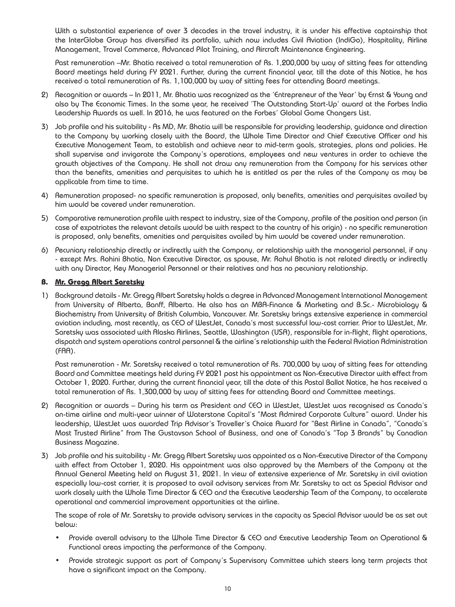With a substantial experience of over 3 decades in the travel industry, it is under his effective captainship that the InterGlobe Group has diversified its portfolio, which now includes Civil Aviation (IndiGo), Hospitality, Airline Management, Travel Commerce, Advanced Pilot Training, and Aircraft Maintenance Engineering.

Past remuneration –Mr. Bhatia received a total remuneration of Rs. 1,200,000 by way of sitting fees for attending Board meetings held during FY 2021. Further, during the current financial year, till the date of this Notice, he has received a total remuneration of Rs. 1,100,000 by way of sitting fees for attending Board meetings.

- 2) Recognition or awards In 2011, Mr. Bhatia was recognized as the 'Entrepreneur of the Year' by Ernst & Young and also by The Economic Times. In the same year, he received 'The Outstanding Start-Up' award at the Forbes India Leadership Awards as well. In 2016, he was featured on the Forbes' Global Game Changers List.
- 3) Job profile and his suitability As MD, Mr. Bhatia will be responsible for providing leadership, guidance and direction to the Company by working closely with the Board, the Whole Time Director and Chief Executive Officer and his Executive Management Team, to establish and achieve near to mid-term goals, strategies, plans and policies. He shall supervise and invigorate the Company's operations, employees and new ventures in order to achieve the growth objectives of the Company. He shall not draw any remuneration from the Company for his services other than the benefits, amenities and perquisites to which he is entitled as per the rules of the Company as may be applicable from time to time.
- 4) Remuneration proposed- no specific remuneration is proposed, only benefits, amenities and perquisites availed by him would be covered under remuneration.
- 5) Comparative remuneration profile with respect to industry, size of the Company, profile of the position and person (in case of expatriates the relevant details would be with respect to the country of his origin) - no specific remuneration is proposed, only benefits, amenities and perquisites availed by him would be covered under remuneration.
- 6) Pecuniary relationship directly or indirectly with the Company, or relationship with the managerial personnel, if any - except Mrs. Rohini Bhatia, Non Executive Director, as spouse, Mr. Rahul Bhatia is not related directly or indirectly with any Director, Key Managerial Personnel or their relatives and has no pecuniary relationship.

### **B. Mr. Gregg Albert Saretsky**

1) Background details - Mr. Gregg Albert Saretsky holds a degree in Advanced Management International Management from University of Alberta, Banff, Alberta. He also has an MBA-Finance & Marketing and B.Sc.- Microbiology & Biochemistry from University of British Columbia, Vancouver. Mr. Saretsky brings extensive experience in commercial aviation including, most recently, as CEO of WestJet, Canada's most successful low-cost carrier. Prior to WestJet, Mr. Saretsky was associated with Alaska Airlines, Seattle, Washington (USA), responsible for in-flight, flight operations, dispatch and system operations control personnel & the airline's relationship with the Federal Aviation Administration (FAA).

Past remuneration - Mr. Saretsky received a total remuneration of Rs. 700,000 by way of sitting fees for attending Board and Committee meetings held during FY 2021 post his appointment as Non-Executive Director with effect from October 1, 2020. Further, during the current financial year, till the date of this Postal Ballot Notice, he has received a total remuneration of Rs. 1,300,000 by way of sitting fees for attending Board and Committee meetings.

- 2) Recognition or awards During his term as President and CEO in WestJet, WestJet was recognised as Canada's on-time airline and multi-year winner of Waterstone Capital's "Most Admired Corporate Culture" award. Under his leadership, WestJet was awarded Trip Advisor's Traveller's Choice Award for "Best Airline in Canada", "Canada's Most Trusted Airline" from The Gustavson School of Business, and one of Canada's "Top 3 Brands" by Canadian Business Magazine.
- 3) Job profile and his suitability Mr. Gregg Albert Saretsky was appointed as a Non-Executive Director of the Company with effect from October 1, 2020. His appointment was also approved by the Members of the Company at the Annual General Meeting held on August 31, 2021. In view of extensive experience of Mr. Saretsky in civil aviation especially low-cost carrier, it is proposed to avail advisory services from Mr. Saretsky to act as Special Advisor and work closely with the Whole Time Director & CEO and the Executive Leadership Team of the Company, to accelerate operational and commercial improvement opportunities at the airline.

The scope of role of Mr. Saretsky to provide advisory services in the capacity as Special Advisor would be as set out below:

- Provide overall advisory to the Whole Time Director & CEO and Executive Leadership Team on Operational & Functional areas impacting the performance of the Company.
- Provide strategic support as part of Company's Supervisory Committee which steers long term projects that have a significant impact on the Company.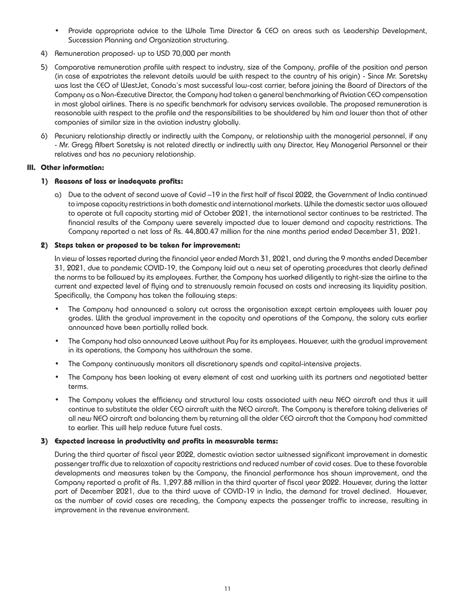- Provide appropriate advice to the Whole Time Director  $\delta$  CEO on areas such as Leadership Development, Succession Planning and Organization structuring.
- 4) Remuneration proposed- up to USD 70,000 per month
- 5) Comparative remuneration profile with respect to industry, size of the Company, profile of the position and person (in case of expatriates the relevant details would be with respect to the country of his origin) - Since Mr. Saretsky was last the CEO of WestJet, Canada's most successful low-cost carrier, before joining the Board of Directors of the Company as a Non-Executive Director, the Company had taken a general benchmarking of Aviation CEO compensation in most global airlines. There is no specific benchmark for advisory services available. The proposed remuneration is reasonable with respect to the profile and the responsibilities to be shouldered by him and lower than that of other companies of similar size in the aviation industry globally.
- 6) Pecuniary relationship directly or indirectly with the Company, or relationship with the managerial personnel, if any - Mr. Gregg Albert Saretsky is not related directly or indirectly with any Director, Key Managerial Personnel or their relatives and has no pecuniary relationship.

### **III. Other information:**

### **1) Reasons of loss or inadequate profits:**

a) Due to the advent of second wave of Covid –19 in the first half of fiscal 2022, the Government of India continued to impose capacity restrictions in both domestic and international markets. While the domestic sector was allowed to operate at full capacity starting mid of October 2021, the international sector continues to be restricted. The financial results of the Company were severely impacted due to lower demand and capacity restrictions. The Company reported a net loss of Rs. 44,800.47 million for the nine months period ended December 31, 2021.

### **2) Steps taken or proposed to be taken for improvement:**

In view of losses reported during the financial year ended March 31, 2021, and during the 9 months ended December 31, 2021, due to pandemic COVID-19, the Company laid out a new set of operating procedures that clearly defined the norms to be followed by its employees. Further, the Company has worked diligently to right-size the airline to the current and expected level of flying and to strenuously remain focused on costs and increasing its liquidity position. Specifically, the Company has taken the following steps:

- The Company had announced a salary cut across the organisation except certain employees with lower pay grades. With the gradual improvement in the capacity and operations of the Company, the salary cuts earlier announced have been partially rolled back.
- The Company had also announced Leave without Pay for its employees. However, with the gradual improvement in its operations, the Company has withdrawn the same.
- The Company continuously monitors all discretionary spends and capital-intensive projects.
- The Company has been looking at every element of cost and working with its partners and negotiated better terms.
- The Company values the efficiency and structural low costs associated with new NEO aircraft and thus it will continue to substitute the older CEO aircraft with the NEO aircraft. The Company is therefore taking deliveries of all new NEO aircraft and balancing them by returning all the older CEO aircraft that the Company had committed to earlier. This will help reduce future fuel costs.

### **3) Expected increase in productivity and profits in measurable terms:**

During the third quarter of fiscal year 2022, domestic aviation sector witnessed significant improvement in domestic passenger traffic due to relaxation of capacity restrictions and reduced number of covid cases. Due to these favorable developments and measures taken by the Company, the financial performance has shown improvement, and the Company reported a profit of Rs. 1,297.88 million in the third quarter of fiscal year 2022. However, during the latter part of December 2021, due to the third wave of COVID-19 in India, the demand for travel declined. However, as the number of covid cases are receding, the Company expects the passenger traffic to increase, resulting in improvement in the revenue environment.